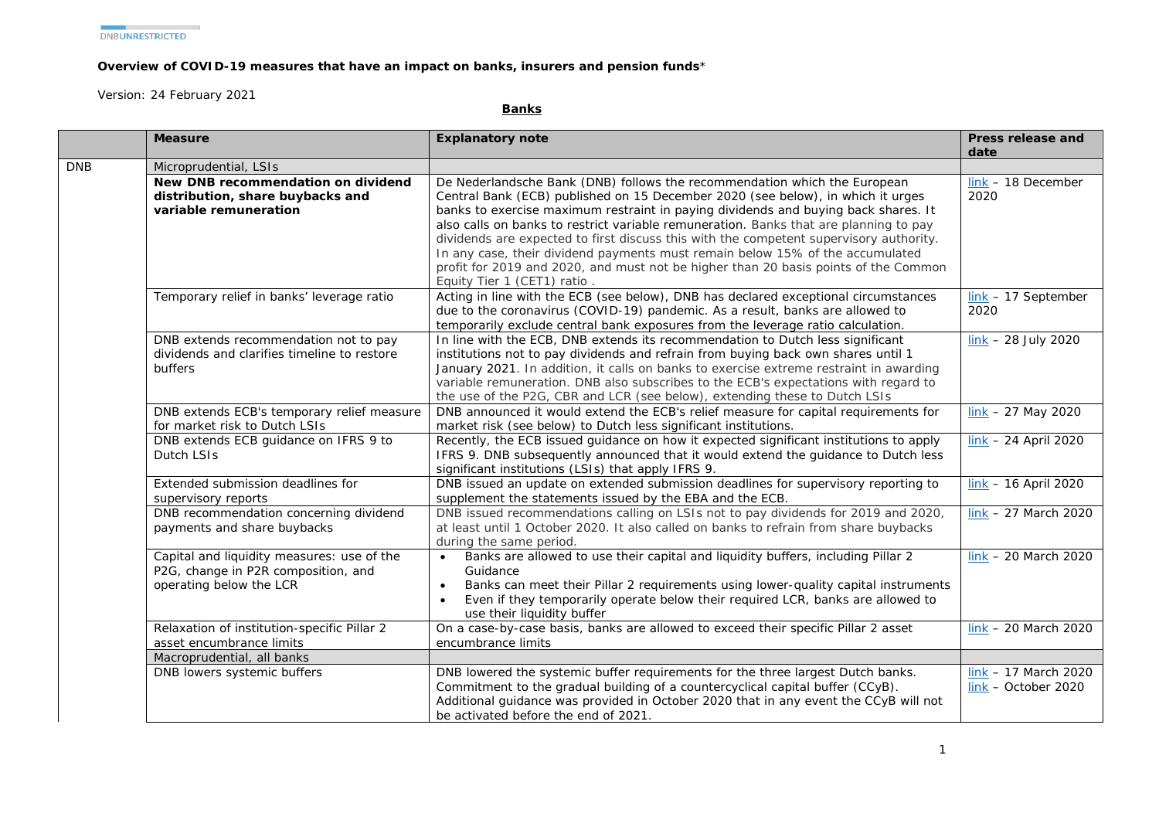## **Overview of COVID-19 measures that have an impact on banks, insurers and pension funds**\*

*Version: 24 February 2021*

**Banks**

|            | <b>Measure</b>                                                                                               | <b>Explanatory note</b>                                                                                                                                                                                                                                                                                                                                                                                                                                                                                                                                                                                                                      | Press release and                               |
|------------|--------------------------------------------------------------------------------------------------------------|----------------------------------------------------------------------------------------------------------------------------------------------------------------------------------------------------------------------------------------------------------------------------------------------------------------------------------------------------------------------------------------------------------------------------------------------------------------------------------------------------------------------------------------------------------------------------------------------------------------------------------------------|-------------------------------------------------|
| <b>DNB</b> | Microprudential, LSIs                                                                                        |                                                                                                                                                                                                                                                                                                                                                                                                                                                                                                                                                                                                                                              | date                                            |
|            | New DNB recommendation on dividend<br>distribution, share buybacks and<br>variable remuneration              | De Nederlandsche Bank (DNB) follows the recommendation which the European<br>Central Bank (ECB) published on 15 December 2020 (see below), in which it urges<br>banks to exercise maximum restraint in paying dividends and buying back shares. It<br>also calls on banks to restrict variable remuneration. Banks that are planning to pay<br>dividends are expected to first discuss this with the competent supervisory authority.<br>In any case, their dividend payments must remain below 15% of the accumulated<br>profit for 2019 and 2020, and must not be higher than 20 basis points of the Common<br>Equity Tier 1 (CET1) ratio. | $link - 18$ December<br>2020                    |
|            | Temporary relief in banks' leverage ratio                                                                    | Acting in line with the ECB (see below), DNB has declared exceptional circumstances<br>due to the coronavirus (COVID-19) pandemic. As a result, banks are allowed to<br>temporarily exclude central bank exposures from the leverage ratio calculation.                                                                                                                                                                                                                                                                                                                                                                                      | $link - 17$ September<br>2020                   |
|            | DNB extends recommendation not to pay<br>dividends and clarifies timeline to restore<br>buffers              | In line with the ECB, DNB extends its recommendation to Dutch less significant<br>institutions not to pay dividends and refrain from buying back own shares until 1<br>January 2021. In addition, it calls on banks to exercise extreme restraint in awarding<br>variable remuneration. DNB also subscribes to the ECB's expectations with regard to<br>the use of the P2G, CBR and LCR (see below), extending these to Dutch LSIs                                                                                                                                                                                                           | $link - 28 July 2020$                           |
|            | DNB extends ECB's temporary relief measure<br>for market risk to Dutch LSIs                                  | DNB announced it would extend the ECB's relief measure for capital requirements for<br>market risk (see below) to Dutch less significant institutions.                                                                                                                                                                                                                                                                                                                                                                                                                                                                                       | $\frac{\text{link}}{\text{N}}$ – 27 May 2020    |
|            | DNB extends ECB guidance on IFRS 9 to<br>Dutch LSIs                                                          | Recently, the ECB issued guidance on how it expected significant institutions to apply<br>IFRS 9. DNB subsequently announced that it would extend the guidance to Dutch less<br>significant institutions (LSIs) that apply IFRS 9.                                                                                                                                                                                                                                                                                                                                                                                                           | $link - 24$ April 2020                          |
|            | Extended submission deadlines for<br>supervisory reports                                                     | DNB issued an update on extended submission deadlines for supervisory reporting to<br>supplement the statements issued by the EBA and the ECB.                                                                                                                                                                                                                                                                                                                                                                                                                                                                                               | $link - 16$ April 2020                          |
|            | DNB recommendation concerning dividend<br>payments and share buybacks                                        | DNB issued recommendations calling on LSIs not to pay dividends for 2019 and 2020,<br>at least until 1 October 2020. It also called on banks to refrain from share buybacks<br>during the same period.                                                                                                                                                                                                                                                                                                                                                                                                                                       | $link - 27$ March 2020                          |
|            | Capital and liquidity measures: use of the<br>P2G, change in P2R composition, and<br>operating below the LCR | Banks are allowed to use their capital and liquidity buffers, including Pillar 2<br>Guidance<br>Banks can meet their Pillar 2 requirements using lower-quality capital instruments<br>Even if they temporarily operate below their required LCR, banks are allowed to<br>use their liquidity buffer                                                                                                                                                                                                                                                                                                                                          | $link - 20$ March 2020                          |
|            | Relaxation of institution-specific Pillar 2<br>asset encumbrance limits                                      | On a case-by-case basis, banks are allowed to exceed their specific Pillar 2 asset<br>encumbrance limits                                                                                                                                                                                                                                                                                                                                                                                                                                                                                                                                     | $link - 20$ March 2020                          |
|            | Macroprudential, all banks                                                                                   |                                                                                                                                                                                                                                                                                                                                                                                                                                                                                                                                                                                                                                              |                                                 |
|            | DNB lowers systemic buffers                                                                                  | DNB lowered the systemic buffer requirements for the three largest Dutch banks.<br>Commitment to the gradual building of a countercyclical capital buffer (CCyB).<br>Additional guidance was provided in October 2020 that in any event the CCyB will not<br>be activated before the end of 2021.                                                                                                                                                                                                                                                                                                                                            | $link - 17$ March 2020<br>$link - October 2020$ |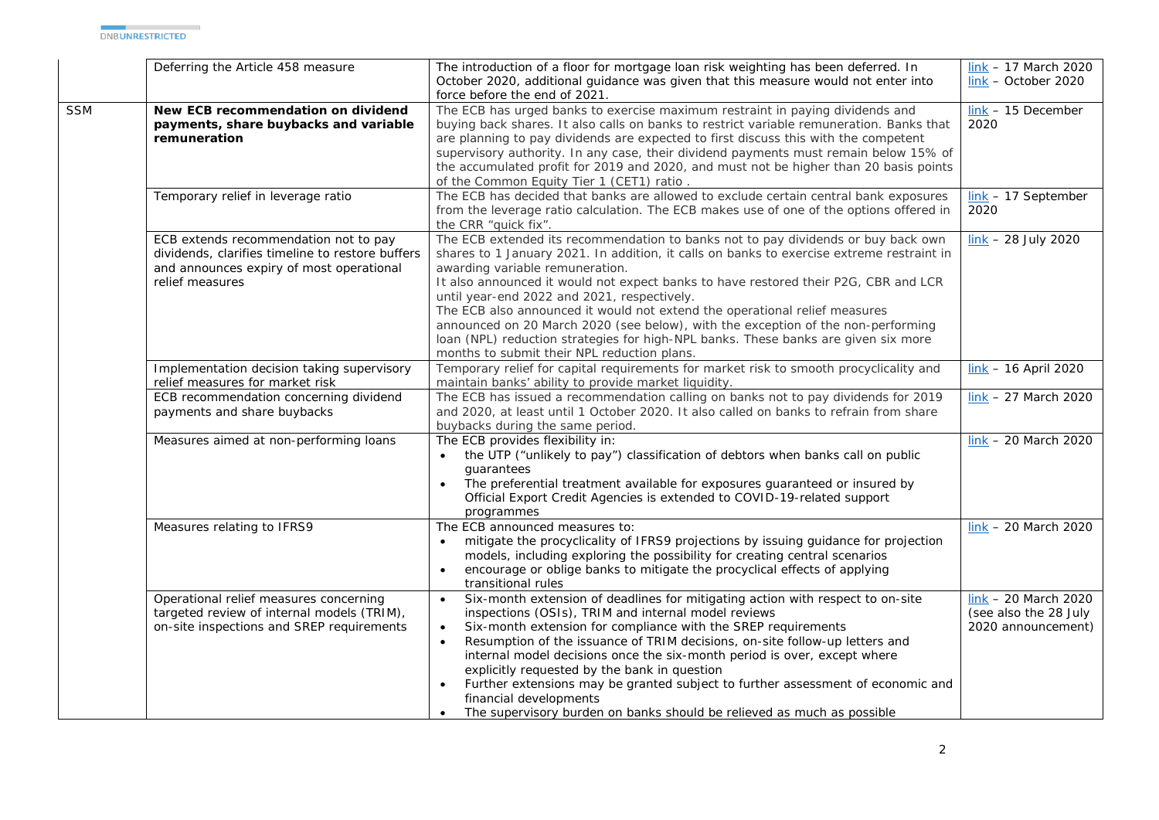|            | Deferring the Article 458 measure                                                                                                                        | The introduction of a floor for mortgage loan risk weighting has been deferred. In<br>October 2020, additional guidance was given that this measure would not enter into<br>force before the end of 2021.                                                                                                                                                                                                                                                                                                                                                                                                                                                      | $link - 17$ March 2020<br>link - October 2020                         |
|------------|----------------------------------------------------------------------------------------------------------------------------------------------------------|----------------------------------------------------------------------------------------------------------------------------------------------------------------------------------------------------------------------------------------------------------------------------------------------------------------------------------------------------------------------------------------------------------------------------------------------------------------------------------------------------------------------------------------------------------------------------------------------------------------------------------------------------------------|-----------------------------------------------------------------------|
| <b>SSM</b> | New ECB recommendation on dividend<br>payments, share buybacks and variable<br>remuneration                                                              | The ECB has urged banks to exercise maximum restraint in paying dividends and<br>buying back shares. It also calls on banks to restrict variable remuneration. Banks that<br>are planning to pay dividends are expected to first discuss this with the competent<br>supervisory authority. In any case, their dividend payments must remain below 15% of<br>the accumulated profit for 2019 and 2020, and must not be higher than 20 basis points<br>of the Common Equity Tier 1 (CET1) ratio.                                                                                                                                                                 | $link - 15$ December<br>2020                                          |
|            | Temporary relief in leverage ratio                                                                                                                       | The ECB has decided that banks are allowed to exclude certain central bank exposures<br>from the leverage ratio calculation. The ECB makes use of one of the options offered in<br>the CRR "quick fix".                                                                                                                                                                                                                                                                                                                                                                                                                                                        | $link - 17$ September<br>2020                                         |
|            | ECB extends recommendation not to pay<br>dividends, clarifies timeline to restore buffers<br>and announces expiry of most operational<br>relief measures | The ECB extended its recommendation to banks not to pay dividends or buy back own<br>shares to 1 January 2021. In addition, it calls on banks to exercise extreme restraint in<br>awarding variable remuneration.<br>It also announced it would not expect banks to have restored their P2G, CBR and LCR<br>until year-end 2022 and 2021, respectively.<br>The ECB also announced it would not extend the operational relief measures<br>announced on 20 March 2020 (see below), with the exception of the non-performing<br>loan (NPL) reduction strategies for high-NPL banks. These banks are given six more<br>months to submit their NPL reduction plans. | $\frac{\text{link}}{\text{lnk}}$ – 28 July 2020                       |
|            | Implementation decision taking supervisory<br>relief measures for market risk                                                                            | Temporary relief for capital requirements for market risk to smooth procyclicality and<br>maintain banks' ability to provide market liquidity.                                                                                                                                                                                                                                                                                                                                                                                                                                                                                                                 | $link - 16$ April 2020                                                |
|            | ECB recommendation concerning dividend<br>payments and share buybacks                                                                                    | The ECB has issued a recommendation calling on banks not to pay dividends for 2019<br>and 2020, at least until 1 October 2020. It also called on banks to refrain from share<br>buybacks during the same period.                                                                                                                                                                                                                                                                                                                                                                                                                                               | $link - 27$ March 2020                                                |
|            | Measures aimed at non-performing loans                                                                                                                   | The ECB provides flexibility in:<br>the UTP ("unlikely to pay") classification of debtors when banks call on public<br>quarantees<br>The preferential treatment available for exposures guaranteed or insured by<br>Official Export Credit Agencies is extended to COVID-19-related support<br>programmes                                                                                                                                                                                                                                                                                                                                                      | $link - 20$ March 2020                                                |
|            | Measures relating to IFRS9                                                                                                                               | The ECB announced measures to:<br>mitigate the procyclicality of IFRS9 projections by issuing guidance for projection<br>models, including exploring the possibility for creating central scenarios<br>encourage or oblige banks to mitigate the procyclical effects of applying<br>transitional rules                                                                                                                                                                                                                                                                                                                                                         | $link - 20$ March 2020                                                |
|            | Operational relief measures concerning<br>targeted review of internal models (TRIM),<br>on-site inspections and SREP requirements                        | Six-month extension of deadlines for mitigating action with respect to on-site<br>$\bullet$<br>inspections (OSIs), TRIM and internal model reviews<br>Six-month extension for compliance with the SREP requirements<br>$\bullet$<br>Resumption of the issuance of TRIM decisions, on-site follow-up letters and<br>internal model decisions once the six-month period is over, except where<br>explicitly requested by the bank in question<br>Further extensions may be granted subject to further assessment of economic and<br>financial developments<br>The supervisory burden on banks should be relieved as much as possible<br>$\bullet$                | $link - 20$ March 2020<br>(see also the 28 July<br>2020 announcement) |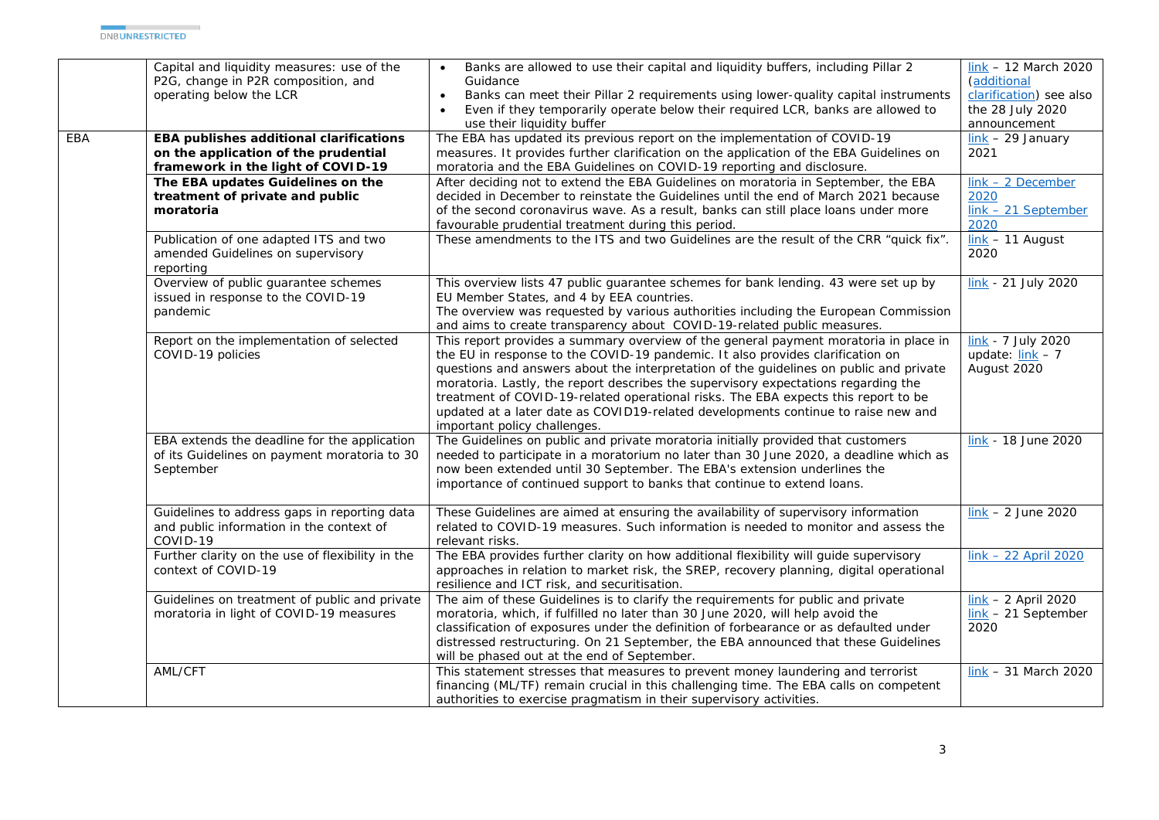|     | Capital and liquidity measures: use of the<br>P2G, change in P2R composition, and<br>operating below the LCR          | Banks are allowed to use their capital and liquidity buffers, including Pillar 2<br>Guidance<br>Banks can meet their Pillar 2 requirements using lower-quality capital instruments<br>$\bullet$<br>Even if they temporarily operate below their required LCR, banks are allowed to<br>use their liquidity buffer                                                                                                                                                                                                                                                  | $link - 12$ March 2020<br>(additional<br>clarification) see also<br>the 28 July 2020<br>announcement |
|-----|-----------------------------------------------------------------------------------------------------------------------|-------------------------------------------------------------------------------------------------------------------------------------------------------------------------------------------------------------------------------------------------------------------------------------------------------------------------------------------------------------------------------------------------------------------------------------------------------------------------------------------------------------------------------------------------------------------|------------------------------------------------------------------------------------------------------|
| EBA | EBA publishes additional clarifications<br>on the application of the prudential<br>framework in the light of COVID-19 | The EBA has updated its previous report on the implementation of COVID-19<br>measures. It provides further clarification on the application of the EBA Guidelines on<br>moratoria and the EBA Guidelines on COVID-19 reporting and disclosure.                                                                                                                                                                                                                                                                                                                    | $\frac{link - 29 \text{ January}}{}$<br>2021                                                         |
|     | The EBA updates Guidelines on the<br>treatment of private and public<br>moratoria                                     | After deciding not to extend the EBA Guidelines on moratoria in September, the EBA<br>decided in December to reinstate the Guidelines until the end of March 2021 because<br>of the second coronavirus wave. As a result, banks can still place loans under more<br>favourable prudential treatment during this period.                                                                                                                                                                                                                                           | $link - 2 December$<br>2020<br>$link - 21$ September<br>2020                                         |
|     | Publication of one adapted ITS and two<br>amended Guidelines on supervisory<br>reporting                              | These amendments to the ITS and two Guidelines are the result of the CRR "quick fix".                                                                                                                                                                                                                                                                                                                                                                                                                                                                             | $link - 11$ August<br>2020                                                                           |
|     | Overview of public guarantee schemes<br>issued in response to the COVID-19<br>pandemic                                | This overview lists 47 public guarantee schemes for bank lending. 43 were set up by<br>EU Member States, and 4 by EEA countries.<br>The overview was requested by various authorities including the European Commission<br>and aims to create transparency about COVID-19-related public measures.                                                                                                                                                                                                                                                                | link - 21 July 2020                                                                                  |
|     | Report on the implementation of selected<br>COVID-19 policies                                                         | This report provides a summary overview of the general payment moratoria in place in<br>the EU in response to the COVID-19 pandemic. It also provides clarification on<br>questions and answers about the interpretation of the guidelines on public and private<br>moratoria. Lastly, the report describes the supervisory expectations regarding the<br>treatment of COVID-19-related operational risks. The EBA expects this report to be<br>updated at a later date as COVID19-related developments continue to raise new and<br>important policy challenges. | link - 7 July 2020<br>update: $\frac{link}{ } - 7$<br>August 2020                                    |
|     | EBA extends the deadline for the application<br>of its Guidelines on payment moratoria to 30<br>September             | The Guidelines on public and private moratoria initially provided that customers<br>needed to participate in a moratorium no later than 30 June 2020, a deadline which as<br>now been extended until 30 September. The EBA's extension underlines the<br>importance of continued support to banks that continue to extend loans.                                                                                                                                                                                                                                  | link - 18 June 2020                                                                                  |
|     | Guidelines to address gaps in reporting data<br>and public information in the context of<br>COVID-19                  | These Guidelines are aimed at ensuring the availability of supervisory information<br>related to COVID-19 measures. Such information is needed to monitor and assess the<br>relevant risks.                                                                                                                                                                                                                                                                                                                                                                       | $link - 2 June 2020$                                                                                 |
|     | Further clarity on the use of flexibility in the<br>context of COVID-19                                               | The EBA provides further clarity on how additional flexibility will guide supervisory<br>approaches in relation to market risk, the SREP, recovery planning, digital operational<br>resilience and ICT risk, and securitisation.                                                                                                                                                                                                                                                                                                                                  | $link - 22$ April 2020                                                                               |
|     | Guidelines on treatment of public and private<br>moratoria in light of COVID-19 measures                              | The aim of these Guidelines is to clarify the requirements for public and private<br>moratoria, which, if fulfilled no later than 30 June 2020, will help avoid the<br>classification of exposures under the definition of forbearance or as defaulted under<br>distressed restructuring. On 21 September, the EBA announced that these Guidelines<br>will be phased out at the end of September.                                                                                                                                                                 | $link - 2$ April 2020<br>$link - 21$ September<br>2020                                               |
|     | AML/CFT                                                                                                               | This statement stresses that measures to prevent money laundering and terrorist<br>financing (ML/TF) remain crucial in this challenging time. The EBA calls on competent<br>authorities to exercise pragmatism in their supervisory activities.                                                                                                                                                                                                                                                                                                                   | $link - 31$ March 2020                                                                               |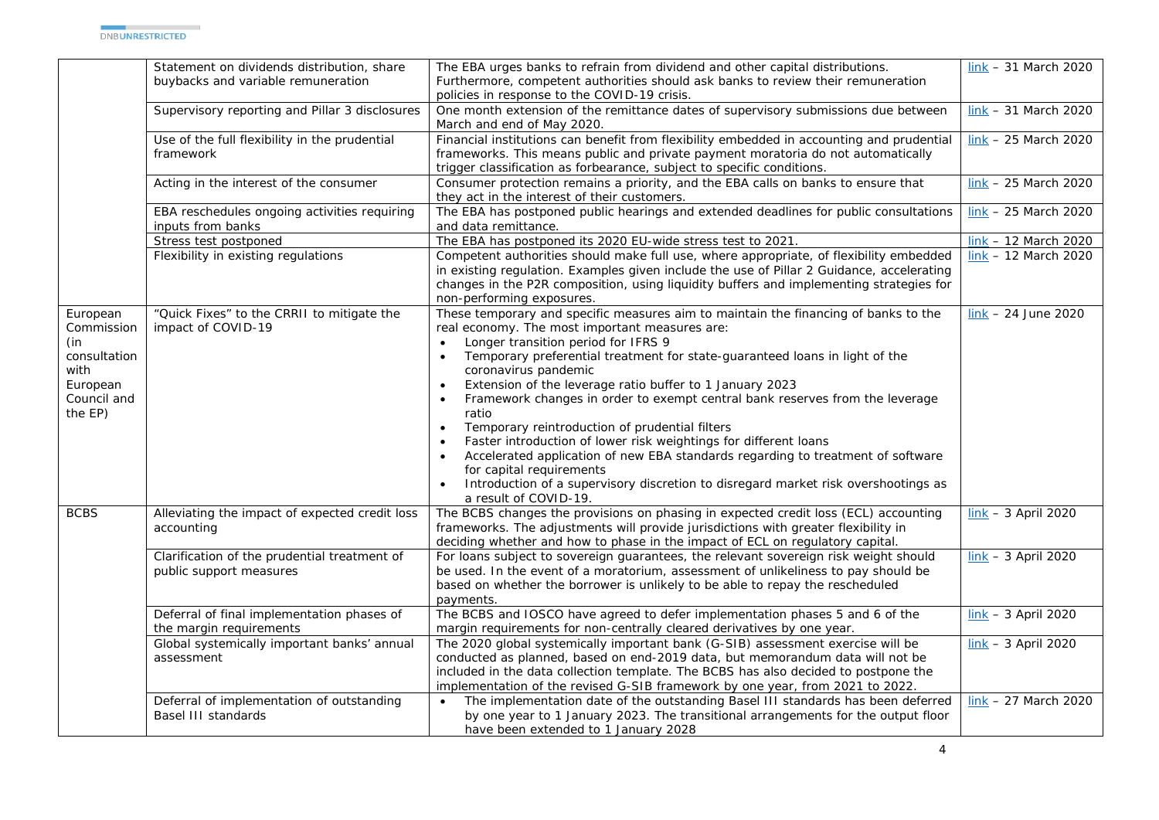|                                                                                             | Statement on dividends distribution, share<br>buybacks and variable remuneration | The EBA urges banks to refrain from dividend and other capital distributions.<br>Furthermore, competent authorities should ask banks to review their remuneration<br>policies in response to the COVID-19 crisis.                                                                                                                                                                                                                                                                                                                                                                                                                                                                                                                                                                            | $link - 31$ March 2020 |
|---------------------------------------------------------------------------------------------|----------------------------------------------------------------------------------|----------------------------------------------------------------------------------------------------------------------------------------------------------------------------------------------------------------------------------------------------------------------------------------------------------------------------------------------------------------------------------------------------------------------------------------------------------------------------------------------------------------------------------------------------------------------------------------------------------------------------------------------------------------------------------------------------------------------------------------------------------------------------------------------|------------------------|
|                                                                                             | Supervisory reporting and Pillar 3 disclosures                                   | One month extension of the remittance dates of supervisory submissions due between<br>March and end of May 2020.                                                                                                                                                                                                                                                                                                                                                                                                                                                                                                                                                                                                                                                                             | $link - 31$ March 2020 |
|                                                                                             | Use of the full flexibility in the prudential<br>framework                       | Financial institutions can benefit from flexibility embedded in accounting and prudential<br>frameworks. This means public and private payment moratoria do not automatically<br>trigger classification as forbearance, subject to specific conditions.                                                                                                                                                                                                                                                                                                                                                                                                                                                                                                                                      | $link - 25$ March 2020 |
|                                                                                             | Acting in the interest of the consumer                                           | Consumer protection remains a priority, and the EBA calls on banks to ensure that<br>they act in the interest of their customers.                                                                                                                                                                                                                                                                                                                                                                                                                                                                                                                                                                                                                                                            | $link - 25$ March 2020 |
|                                                                                             | EBA reschedules ongoing activities requiring<br>inputs from banks                | The EBA has postponed public hearings and extended deadlines for public consultations<br>and data remittance.                                                                                                                                                                                                                                                                                                                                                                                                                                                                                                                                                                                                                                                                                | $link - 25$ March 2020 |
|                                                                                             | Stress test postponed                                                            | The EBA has postponed its 2020 EU-wide stress test to 2021.                                                                                                                                                                                                                                                                                                                                                                                                                                                                                                                                                                                                                                                                                                                                  | $link - 12$ March 2020 |
|                                                                                             | Flexibility in existing regulations                                              | Competent authorities should make full use, where appropriate, of flexibility embedded<br>in existing regulation. Examples given include the use of Pillar 2 Guidance, accelerating<br>changes in the P2R composition, using liquidity buffers and implementing strategies for<br>non-performing exposures.                                                                                                                                                                                                                                                                                                                                                                                                                                                                                  | $link - 12$ March 2020 |
| European<br>Commission<br>(in<br>consultation<br>with<br>European<br>Council and<br>the EP) | "Quick Fixes" to the CRRII to mitigate the<br>impact of COVID-19                 | These temporary and specific measures aim to maintain the financing of banks to the<br>real economy. The most important measures are:<br>Longer transition period for IFRS 9<br>Temporary preferential treatment for state-guaranteed loans in light of the<br>coronavirus pandemic<br>Extension of the leverage ratio buffer to 1 January 2023<br>Framework changes in order to exempt central bank reserves from the leverage<br>ratio<br>Temporary reintroduction of prudential filters<br>Faster introduction of lower risk weightings for different loans<br>Accelerated application of new EBA standards regarding to treatment of software<br>for capital requirements<br>Introduction of a supervisory discretion to disregard market risk overshootings as<br>a result of COVID-19. | $link - 24 June 2020$  |
| <b>BCBS</b>                                                                                 | Alleviating the impact of expected credit loss<br>accounting                     | The BCBS changes the provisions on phasing in expected credit loss (ECL) accounting<br>frameworks. The adjustments will provide jurisdictions with greater flexibility in<br>deciding whether and how to phase in the impact of ECL on regulatory capital.                                                                                                                                                                                                                                                                                                                                                                                                                                                                                                                                   | $link - 3 April 2020$  |
|                                                                                             | Clarification of the prudential treatment of<br>public support measures          | For loans subject to sovereign guarantees, the relevant sovereign risk weight should<br>be used. In the event of a moratorium, assessment of unlikeliness to pay should be<br>based on whether the borrower is unlikely to be able to repay the rescheduled<br>payments.                                                                                                                                                                                                                                                                                                                                                                                                                                                                                                                     | $link - 3 April 2020$  |
|                                                                                             | Deferral of final implementation phases of<br>the margin requirements            | The BCBS and IOSCO have agreed to defer implementation phases 5 and 6 of the<br>margin requirements for non-centrally cleared derivatives by one year.                                                                                                                                                                                                                                                                                                                                                                                                                                                                                                                                                                                                                                       | $link - 3 April 2020$  |
|                                                                                             | Global systemically important banks' annual<br>assessment                        | The 2020 global systemically important bank (G-SIB) assessment exercise will be<br>conducted as planned, based on end-2019 data, but memorandum data will not be<br>included in the data collection template. The BCBS has also decided to postpone the<br>implementation of the revised G-SIB framework by one year, from 2021 to 2022.                                                                                                                                                                                                                                                                                                                                                                                                                                                     | $link - 3 April 2020$  |
|                                                                                             | Deferral of implementation of outstanding<br>Basel III standards                 | The implementation date of the outstanding Basel III standards has been deferred<br>by one year to 1 January 2023. The transitional arrangements for the output floor<br>have been extended to 1 January 2028                                                                                                                                                                                                                                                                                                                                                                                                                                                                                                                                                                                | $link - 27$ March 2020 |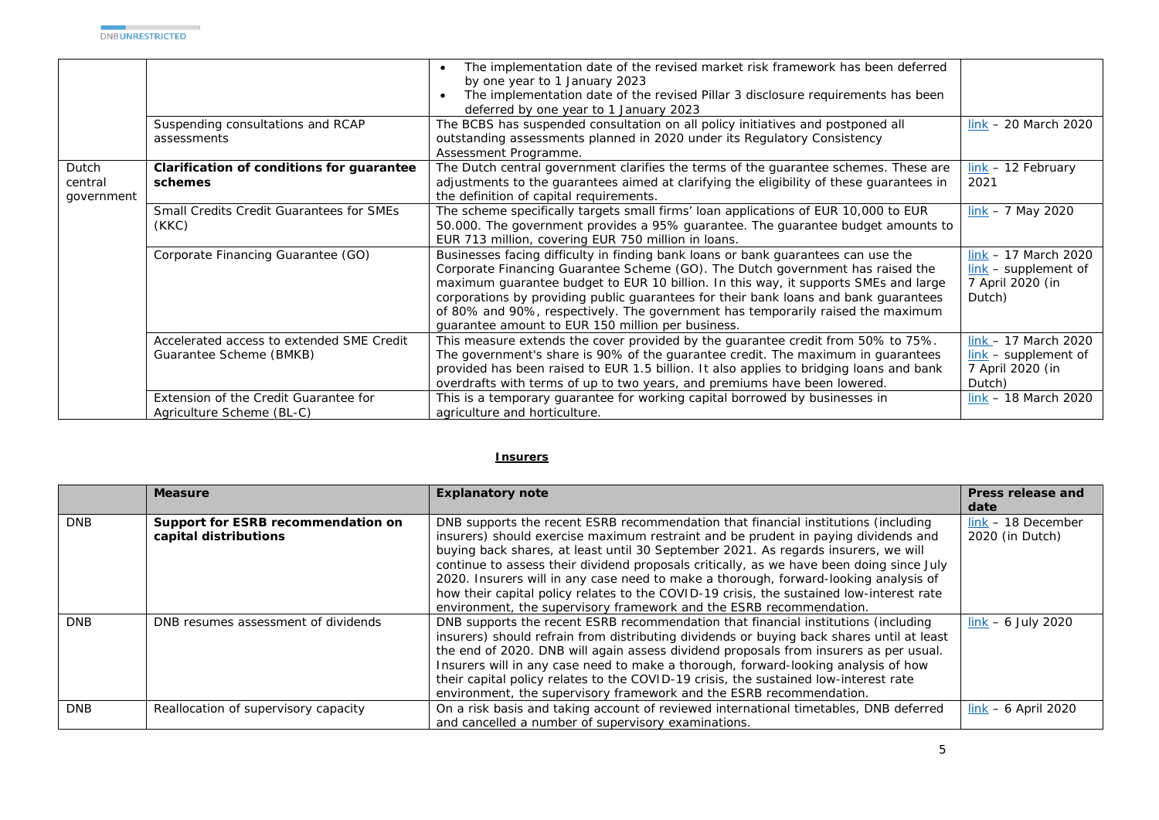|                                |                                                                      | The implementation date of the revised market risk framework has been deferred<br>by one year to 1 January 2023<br>The implementation date of the revised Pillar 3 disclosure requirements has been<br>deferred by one year to 1 January 2023                                                                                                                                                                                                                                              |                                                                                          |
|--------------------------------|----------------------------------------------------------------------|--------------------------------------------------------------------------------------------------------------------------------------------------------------------------------------------------------------------------------------------------------------------------------------------------------------------------------------------------------------------------------------------------------------------------------------------------------------------------------------------|------------------------------------------------------------------------------------------|
|                                | Suspending consultations and RCAP<br>assessments                     | The BCBS has suspended consultation on all policy initiatives and postponed all<br>outstanding assessments planned in 2020 under its Regulatory Consistency<br>Assessment Programme.                                                                                                                                                                                                                                                                                                       | $link - 20$ March 2020                                                                   |
| Dutch<br>central<br>government | Clarification of conditions for guarantee<br>schemes                 | The Dutch central government clarifies the terms of the guarantee schemes. These are<br>adjustments to the guarantees aimed at clarifying the eligibility of these guarantees in<br>the definition of capital requirements.                                                                                                                                                                                                                                                                | $link - 12$ February<br>2021                                                             |
|                                | <b>Small Credits Credit Guarantees for SMEs</b><br>(KKC)             | The scheme specifically targets small firms' loan applications of EUR 10,000 to EUR<br>50.000. The government provides a 95% guarantee. The guarantee budget amounts to<br>EUR 713 million, covering EUR 750 million in loans.                                                                                                                                                                                                                                                             | $link - 7 May 2020$                                                                      |
|                                | Corporate Financing Guarantee (GO)                                   | Businesses facing difficulty in finding bank loans or bank guarantees can use the<br>Corporate Financing Guarantee Scheme (GO). The Dutch government has raised the<br>maximum guarantee budget to EUR 10 billion. In this way, it supports SMEs and large<br>corporations by providing public guarantees for their bank loans and bank guarantees<br>of 80% and 90%, respectively. The government has temporarily raised the maximum<br>quarantee amount to EUR 150 million per business. | $link - 17$ March 2020<br>$link - support$<br>7 April 2020 (in<br>Dutch)                 |
|                                | Accelerated access to extended SME Credit<br>Guarantee Scheme (BMKB) | This measure extends the cover provided by the guarantee credit from 50% to 75%.<br>The government's share is 90% of the guarantee credit. The maximum in guarantees<br>provided has been raised to EUR 1.5 billion. It also applies to bridging loans and bank<br>overdrafts with terms of up to two years, and premiums have been lowered.                                                                                                                                               | $link - 17$ March 2020<br>$\frac{link}{ }$ – supplement of<br>7 April 2020 (in<br>Dutch) |
|                                | Extension of the Credit Guarantee for<br>Agriculture Scheme (BL-C)   | This is a temporary guarantee for working capital borrowed by businesses in<br>agriculture and horticulture.                                                                                                                                                                                                                                                                                                                                                                               | $link - 18$ March 2020                                                                   |

## **Insurers**

|            | <b>Measure</b>                                              | <b>Explanatory note</b>                                                                                                                                                                                                                                                                                                                                                                                                                                                                                                                                                                                               | Press release and                       |
|------------|-------------------------------------------------------------|-----------------------------------------------------------------------------------------------------------------------------------------------------------------------------------------------------------------------------------------------------------------------------------------------------------------------------------------------------------------------------------------------------------------------------------------------------------------------------------------------------------------------------------------------------------------------------------------------------------------------|-----------------------------------------|
|            |                                                             |                                                                                                                                                                                                                                                                                                                                                                                                                                                                                                                                                                                                                       | date                                    |
| <b>DNB</b> | Support for ESRB recommendation on<br>capital distributions | DNB supports the recent ESRB recommendation that financial institutions (including<br>insurers) should exercise maximum restraint and be prudent in paying dividends and<br>buying back shares, at least until 30 September 2021. As regards insurers, we will<br>continue to assess their dividend proposals critically, as we have been doing since July<br>2020. Insurers will in any case need to make a thorough, forward-looking analysis of<br>how their capital policy relates to the COVID-19 crisis, the sustained low-interest rate<br>environment, the supervisory framework and the ESRB recommendation. | $link - 18$ December<br>2020 (in Dutch) |
| <b>DNB</b> | DNB resumes assessment of dividends                         | DNB supports the recent ESRB recommendation that financial institutions (including<br>insurers) should refrain from distributing dividends or buying back shares until at least<br>the end of 2020. DNB will again assess dividend proposals from insurers as per usual.<br>Insurers will in any case need to make a thorough, forward-looking analysis of how<br>their capital policy relates to the COVID-19 crisis, the sustained low-interest rate<br>environment, the supervisory framework and the ESRB recommendation.                                                                                         | $link - 6 July 2020$                    |
| <b>DNB</b> | Reallocation of supervisory capacity                        | On a risk basis and taking account of reviewed international timetables, DNB deferred<br>and cancelled a number of supervisory examinations.                                                                                                                                                                                                                                                                                                                                                                                                                                                                          | $link - 6$ April 2020                   |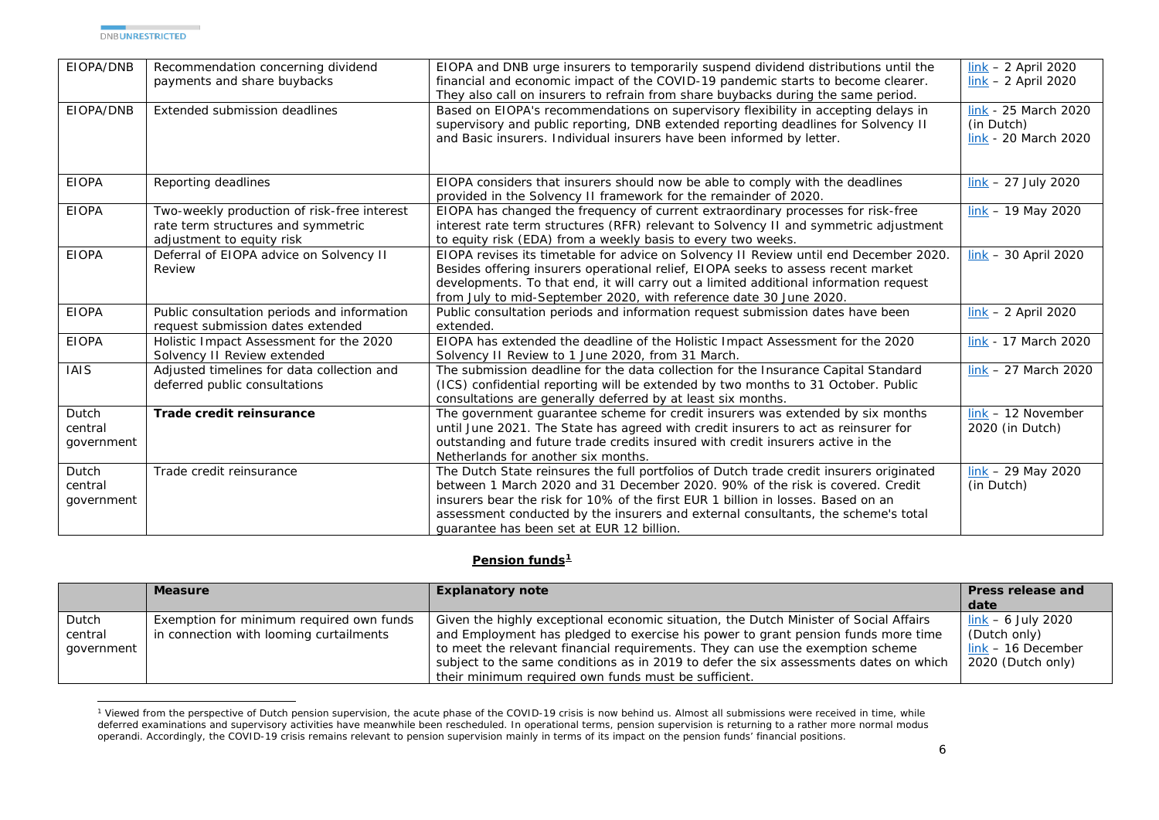<span id="page-5-0"></span>

| EIOPA/DNB                      | Recommendation concerning dividend<br>payments and share buybacks                                              | EIOPA and DNB urge insurers to temporarily suspend dividend distributions until the<br>financial and economic impact of the COVID-19 pandemic starts to become clearer.<br>They also call on insurers to refrain from share buybacks during the same period.                                                                                                                                   | $link - 2 April 2020$<br>$link - 2$ April 2020             |
|--------------------------------|----------------------------------------------------------------------------------------------------------------|------------------------------------------------------------------------------------------------------------------------------------------------------------------------------------------------------------------------------------------------------------------------------------------------------------------------------------------------------------------------------------------------|------------------------------------------------------------|
| EIOPA/DNB                      | Extended submission deadlines                                                                                  | Based on EIOPA's recommendations on supervisory flexibility in accepting delays in<br>supervisory and public reporting, DNB extended reporting deadlines for Solvency II<br>and Basic insurers. Individual insurers have been informed by letter.                                                                                                                                              | link - 25 March 2020<br>(in Dutch)<br>link - 20 March 2020 |
| <b>EIOPA</b>                   | Reporting deadlines                                                                                            | EIOPA considers that insurers should now be able to comply with the deadlines<br>provided in the Solvency II framework for the remainder of 2020.                                                                                                                                                                                                                                              | $link - 27$ July 2020                                      |
| <b>EIOPA</b>                   | Two-weekly production of risk-free interest<br>rate term structures and symmetric<br>adjustment to equity risk | EIOPA has changed the frequency of current extraordinary processes for risk-free<br>interest rate term structures (RFR) relevant to Solvency II and symmetric adjustment<br>to equity risk (EDA) from a weekly basis to every two weeks.                                                                                                                                                       | $link - 19$ May 2020                                       |
| <b>EIOPA</b>                   | Deferral of EIOPA advice on Solvency II<br>Review                                                              | EIOPA revises its timetable for advice on Solvency II Review until end December 2020.<br>Besides offering insurers operational relief, EIOPA seeks to assess recent market<br>developments. To that end, it will carry out a limited additional information request<br>from July to mid-September 2020, with reference date 30 June 2020.                                                      | $link - 30$ April 2020                                     |
| <b>EIOPA</b>                   | Public consultation periods and information<br>request submission dates extended                               | Public consultation periods and information request submission dates have been<br>extended.                                                                                                                                                                                                                                                                                                    | $\frac{\text{link}}{\text{N}}$ – 2 April 2020              |
| <b>EIOPA</b>                   | Holistic Impact Assessment for the 2020<br>Solvency II Review extended                                         | EIOPA has extended the deadline of the Holistic Impact Assessment for the 2020<br>Solvency II Review to 1 June 2020, from 31 March.                                                                                                                                                                                                                                                            | link - 17 March 2020                                       |
| <b>IAIS</b>                    | Adjusted timelines for data collection and<br>deferred public consultations                                    | The submission deadline for the data collection for the Insurance Capital Standard<br>(ICS) confidential reporting will be extended by two months to 31 October. Public<br>consultations are generally deferred by at least six months.                                                                                                                                                        | $link - 27$ March 2020                                     |
| Dutch<br>central<br>government | Trade credit reinsurance                                                                                       | The government guarantee scheme for credit insurers was extended by six months<br>until June 2021. The State has agreed with credit insurers to act as reinsurer for<br>outstanding and future trade credits insured with credit insurers active in the<br>Netherlands for another six months.                                                                                                 | $link - 12$ November<br>2020 (in Dutch)                    |
| Dutch<br>central<br>government | Trade credit reinsurance                                                                                       | The Dutch State reinsures the full portfolios of Dutch trade credit insurers originated<br>between 1 March 2020 and 31 December 2020, 90% of the risk is covered. Credit<br>insurers bear the risk for 10% of the first EUR 1 billion in losses. Based on an<br>assessment conducted by the insurers and external consultants, the scheme's total<br>quarantee has been set at EUR 12 billion. | $link - 29$ May 2020<br>(in Dutch)                         |

## **Pension funds[1](#page-5-0)**

|                                | <b>Measure</b>                                                                      | <b>Explanatory note</b>                                                                                                                                                                                                                                                                                                                                                                                       | Press release and<br>date                                                         |
|--------------------------------|-------------------------------------------------------------------------------------|---------------------------------------------------------------------------------------------------------------------------------------------------------------------------------------------------------------------------------------------------------------------------------------------------------------------------------------------------------------------------------------------------------------|-----------------------------------------------------------------------------------|
| Dutch<br>central<br>government | Exemption for minimum required own funds<br>in connection with looming curtailments | Given the highly exceptional economic situation, the Dutch Minister of Social Affairs<br>and Employment has pledged to exercise his power to grant pension funds more time<br>to meet the relevant financial requirements. They can use the exemption scheme<br>subject to the same conditions as in 2019 to defer the six assessments dates on which<br>their minimum required own funds must be sufficient. | $link - 6$ July 2020<br>(Dutch only)<br>$link - 16$ December<br>2020 (Dutch only) |

<sup>&</sup>lt;sup>1</sup> Viewed from the perspective of Dutch pension supervision, the acute phase of the COVID-19 crisis is now behind us. Almost all submissions were received in time, while deferred examinations and supervisory activities have meanwhile been rescheduled. In operational terms, pension supervision is returning to a rather more normal modus operandi. Accordingly, the COVID-19 crisis remains relevant to pension supervision mainly in terms of its impact on the pension funds' financial positions.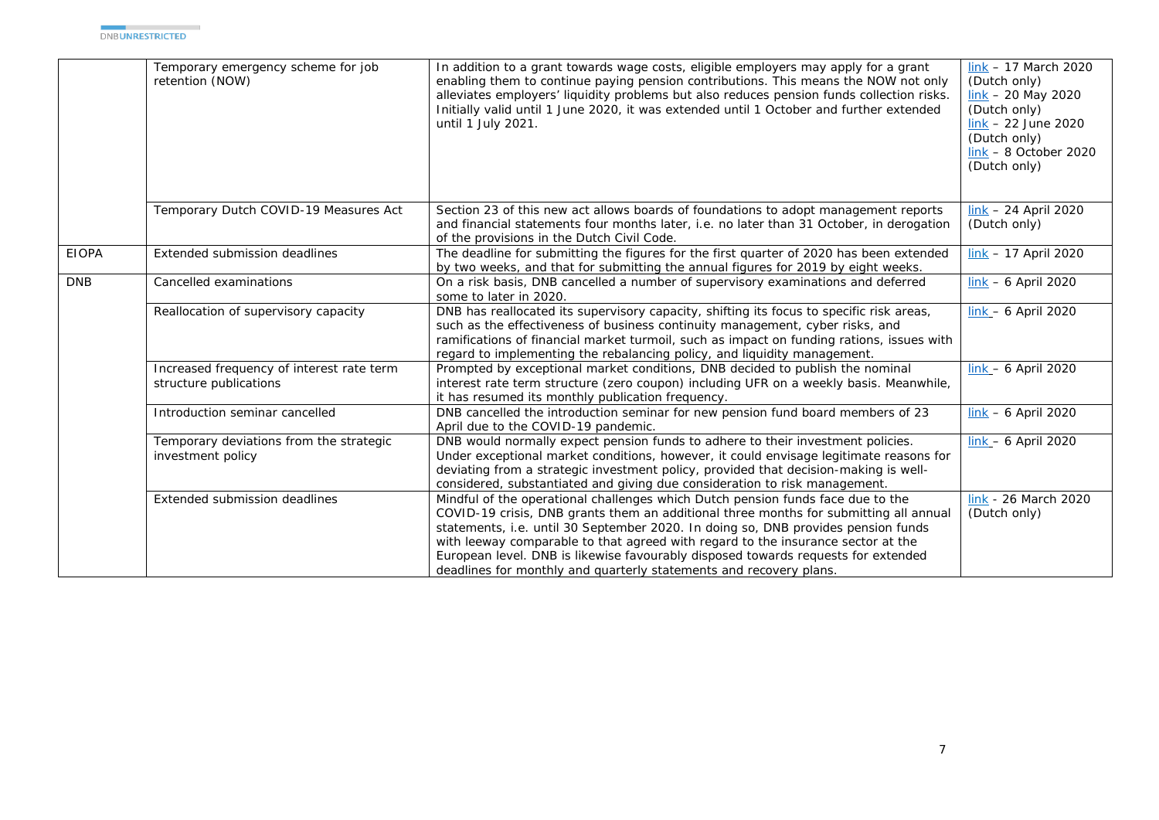|              | Temporary emergency scheme for job<br>retention (NOW)               | In addition to a grant towards wage costs, eligible employers may apply for a grant<br>enabling them to continue paying pension contributions. This means the NOW not only<br>alleviates employers' liquidity problems but also reduces pension funds collection risks.<br>Initially valid until 1 June 2020, it was extended until 1 October and further extended<br>until 1 July 2021.                                                                                                                     | link $-17$ March 2020<br>(Dutch only)<br>$\frac{\text{link}}{\text{lnk}}$ – 20 May 2020<br>(Dutch only)<br>$link - 22 June 2020$<br>(Dutch only)<br>$link - 8$ October 2020<br>(Dutch only) |
|--------------|---------------------------------------------------------------------|--------------------------------------------------------------------------------------------------------------------------------------------------------------------------------------------------------------------------------------------------------------------------------------------------------------------------------------------------------------------------------------------------------------------------------------------------------------------------------------------------------------|---------------------------------------------------------------------------------------------------------------------------------------------------------------------------------------------|
|              | Temporary Dutch COVID-19 Measures Act                               | Section 23 of this new act allows boards of foundations to adopt management reports<br>and financial statements four months later, i.e. no later than 31 October, in derogation<br>of the provisions in the Dutch Civil Code.                                                                                                                                                                                                                                                                                | $link - 24$ April 2020<br>(Dutch only)                                                                                                                                                      |
| <b>EIOPA</b> | Extended submission deadlines                                       | The deadline for submitting the figures for the first quarter of 2020 has been extended<br>by two weeks, and that for submitting the annual figures for 2019 by eight weeks.                                                                                                                                                                                                                                                                                                                                 | $link - 17$ April 2020                                                                                                                                                                      |
| <b>DNB</b>   | Cancelled examinations                                              | On a risk basis, DNB cancelled a number of supervisory examinations and deferred<br>some to later in 2020.                                                                                                                                                                                                                                                                                                                                                                                                   | $link - 6$ April 2020                                                                                                                                                                       |
|              | Reallocation of supervisory capacity                                | DNB has reallocated its supervisory capacity, shifting its focus to specific risk areas,<br>such as the effectiveness of business continuity management, cyber risks, and<br>ramifications of financial market turmoil, such as impact on funding rations, issues with<br>regard to implementing the rebalancing policy, and liquidity management.                                                                                                                                                           | $link - 6$ April 2020                                                                                                                                                                       |
|              | Increased frequency of interest rate term<br>structure publications | Prompted by exceptional market conditions, DNB decided to publish the nominal<br>interest rate term structure (zero coupon) including UFR on a weekly basis. Meanwhile,<br>it has resumed its monthly publication frequency.                                                                                                                                                                                                                                                                                 | $link - 6$ April 2020                                                                                                                                                                       |
|              | Introduction seminar cancelled                                      | DNB cancelled the introduction seminar for new pension fund board members of 23<br>April due to the COVID-19 pandemic.                                                                                                                                                                                                                                                                                                                                                                                       | $link - 6$ April 2020                                                                                                                                                                       |
|              | Temporary deviations from the strategic<br>investment policy        | DNB would normally expect pension funds to adhere to their investment policies.<br>Under exceptional market conditions, however, it could envisage legitimate reasons for<br>deviating from a strategic investment policy, provided that decision-making is well-<br>considered, substantiated and giving due consideration to risk management.                                                                                                                                                              | $link - 6$ April 2020                                                                                                                                                                       |
|              | Extended submission deadlines                                       | Mindful of the operational challenges which Dutch pension funds face due to the<br>COVID-19 crisis, DNB grants them an additional three months for submitting all annual<br>statements, i.e. until 30 September 2020. In doing so, DNB provides pension funds<br>with leeway comparable to that agreed with regard to the insurance sector at the<br>European level. DNB is likewise favourably disposed towards requests for extended<br>deadlines for monthly and quarterly statements and recovery plans. | link - 26 March 2020<br>(Dutch only)                                                                                                                                                        |